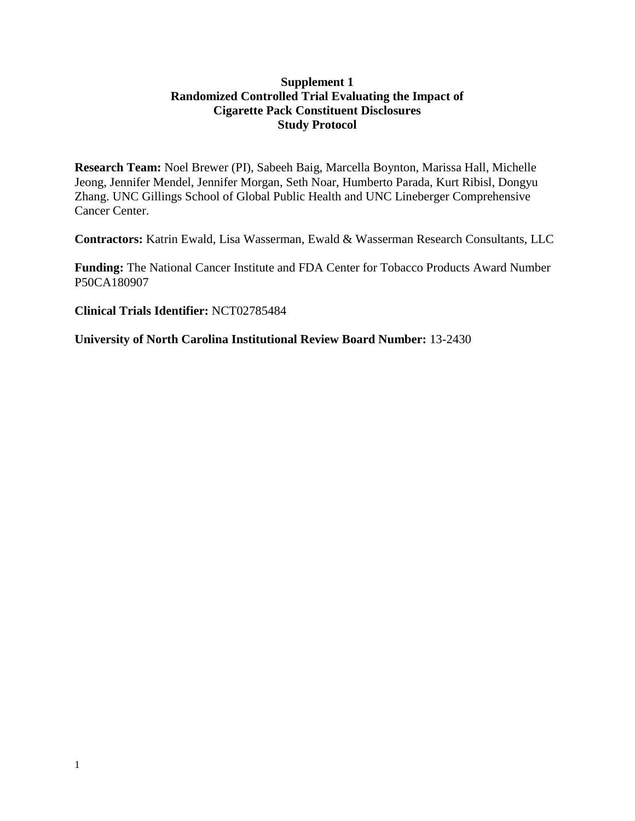### **Supplement 1 Randomized Controlled Trial Evaluating the Impact of Cigarette Pack Constituent Disclosures Study Protocol**

**Research Team:** Noel Brewer (PI), Sabeeh Baig, Marcella Boynton, Marissa Hall, Michelle Jeong, Jennifer Mendel, Jennifer Morgan, Seth Noar, Humberto Parada, Kurt Ribisl, Dongyu Zhang. UNC Gillings School of Global Public Health and UNC Lineberger Comprehensive Cancer Center.

**Contractors:** Katrin Ewald, Lisa Wasserman, Ewald & Wasserman Research Consultants, LLC

**Funding:** The National Cancer Institute and FDA Center for Tobacco Products Award Number P50CA180907

**Clinical Trials Identifier:** NCT02785484

**University of North Carolina Institutional Review Board Number:** 13-2430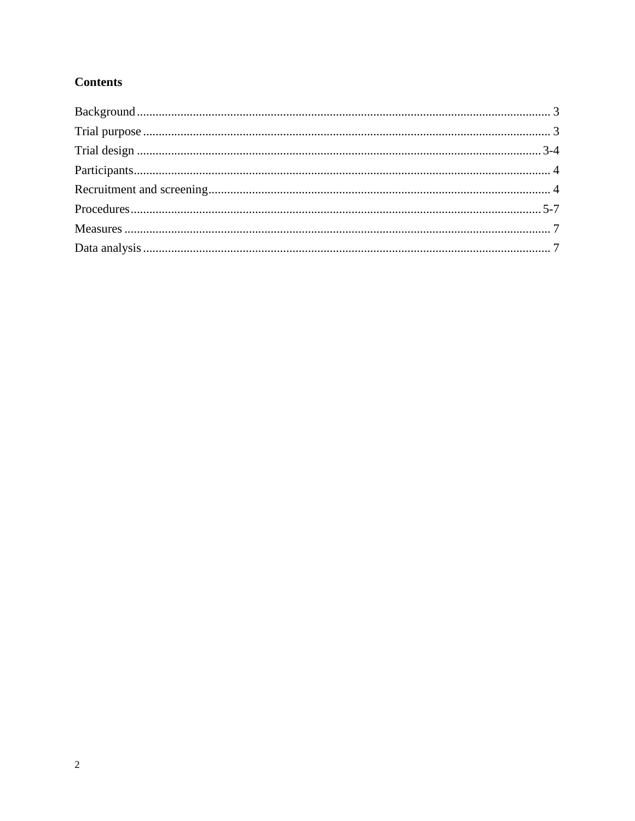# **Contents**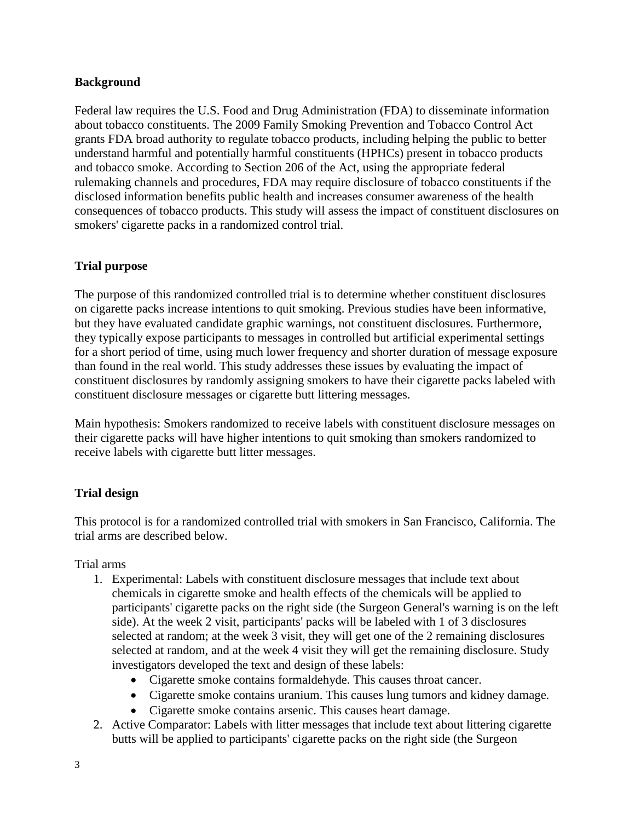### <span id="page-2-0"></span>**Background**

Federal law requires the U.S. Food and Drug Administration (FDA) to disseminate information about tobacco constituents. The 2009 Family Smoking Prevention and Tobacco Control Act grants FDA broad authority to regulate tobacco products, including helping the public to better understand harmful and potentially harmful constituents (HPHCs) present in tobacco products and tobacco smoke. According to Section 206 of the Act, using the appropriate federal rulemaking channels and procedures, FDA may require disclosure of tobacco constituents if the disclosed information benefits public health and increases consumer awareness of the health consequences of tobacco products. This study will assess the impact of constituent disclosures on smokers' cigarette packs in a randomized control trial.

### <span id="page-2-1"></span>**Trial purpose**

The purpose of this randomized controlled trial is to determine whether constituent disclosures on cigarette packs increase intentions to quit smoking. Previous studies have been informative, but they have evaluated candidate graphic warnings, not constituent disclosures. Furthermore, they typically expose participants to messages in controlled but artificial experimental settings for a short period of time, using much lower frequency and shorter duration of message exposure than found in the real world. This study addresses these issues by evaluating the impact of constituent disclosures by randomly assigning smokers to have their cigarette packs labeled with constituent disclosure messages or cigarette butt littering messages.

Main hypothesis: Smokers randomized to receive labels with constituent disclosure messages on their cigarette packs will have higher intentions to quit smoking than smokers randomized to receive labels with cigarette butt litter messages.

## <span id="page-2-2"></span>**Trial design**

This protocol is for a randomized controlled trial with smokers in San Francisco, California. The trial arms are described below.

Trial arms

- 1. Experimental: Labels with constituent disclosure messages that include text about chemicals in cigarette smoke and health effects of the chemicals will be applied to participants' cigarette packs on the right side (the Surgeon General's warning is on the left side). At the week 2 visit, participants' packs will be labeled with 1 of 3 disclosures selected at random; at the week 3 visit, they will get one of the 2 remaining disclosures selected at random, and at the week 4 visit they will get the remaining disclosure. Study investigators developed the text and design of these labels:
	- Cigarette smoke contains formaldehyde. This causes throat cancer.
	- Cigarette smoke contains uranium. This causes lung tumors and kidney damage.
	- Cigarette smoke contains arsenic. This causes heart damage.
- 2. Active Comparator: Labels with litter messages that include text about littering cigarette butts will be applied to participants' cigarette packs on the right side (the Surgeon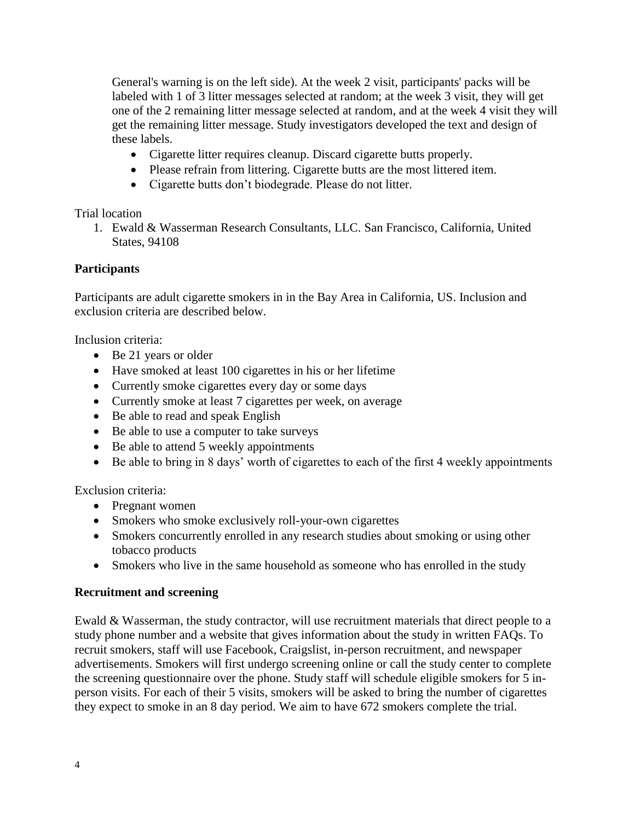General's warning is on the left side). At the week 2 visit, participants' packs will be labeled with 1 of 3 litter messages selected at random; at the week 3 visit, they will get one of the 2 remaining litter message selected at random, and at the week 4 visit they will get the remaining litter message. Study investigators developed the text and design of these labels.

- Cigarette litter requires cleanup. Discard cigarette butts properly.
- Please refrain from littering. Cigarette butts are the most littered item.
- Cigarette butts don't biodegrade. Please do not litter.

## Trial location

1. Ewald & Wasserman Research Consultants, LLC. San Francisco, California, United States, 94108

# <span id="page-3-0"></span>**Participants**

Participants are adult cigarette smokers in in the Bay Area in California, US. Inclusion and exclusion criteria are described below.

Inclusion criteria:

- Be 21 years or older
- Have smoked at least 100 cigarettes in his or her lifetime
- Currently smoke cigarettes every day or some days
- Currently smoke at least 7 cigarettes per week, on average
- Be able to read and speak English
- Be able to use a computer to take surveys
- Be able to attend 5 weekly appointments
- Be able to bring in 8 days' worth of cigarettes to each of the first 4 weekly appointments

Exclusion criteria:

- Pregnant women
- Smokers who smoke exclusively roll-your-own cigarettes
- Smokers concurrently enrolled in any research studies about smoking or using other tobacco products
- Smokers who live in the same household as someone who has enrolled in the study

## <span id="page-3-1"></span>**Recruitment and screening**

Ewald & Wasserman, the study contractor, will use recruitment materials that direct people to a study phone number and a website that gives information about the study in written FAQs. To recruit smokers, staff will use Facebook, Craigslist, in-person recruitment, and newspaper advertisements. Smokers will first undergo screening online or call the study center to complete the screening questionnaire over the phone. Study staff will schedule eligible smokers for 5 inperson visits. For each of their 5 visits, smokers will be asked to bring the number of cigarettes they expect to smoke in an 8 day period. We aim to have 672 smokers complete the trial.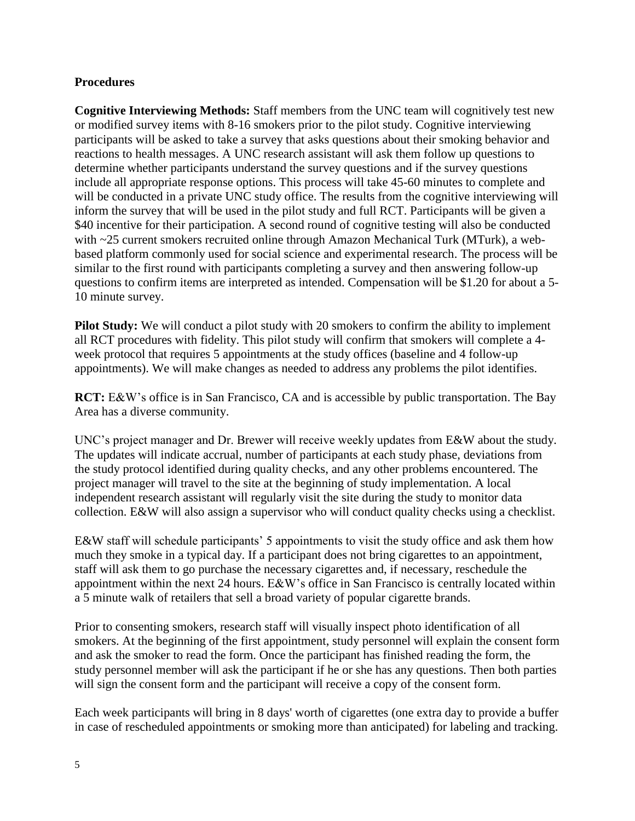### <span id="page-4-0"></span>**Procedures**

**Cognitive Interviewing Methods:** Staff members from the UNC team will cognitively test new or modified survey items with 8-16 smokers prior to the pilot study. Cognitive interviewing participants will be asked to take a survey that asks questions about their smoking behavior and reactions to health messages. A UNC research assistant will ask them follow up questions to determine whether participants understand the survey questions and if the survey questions include all appropriate response options. This process will take 45-60 minutes to complete and will be conducted in a private UNC study office. The results from the cognitive interviewing will inform the survey that will be used in the pilot study and full RCT. Participants will be given a \$40 incentive for their participation. A second round of cognitive testing will also be conducted with ~25 current smokers recruited online through Amazon Mechanical Turk (MTurk), a webbased platform commonly used for social science and experimental research. The process will be similar to the first round with participants completing a survey and then answering follow-up questions to confirm items are interpreted as intended. Compensation will be \$1.20 for about a 5- 10 minute survey.

**Pilot Study:** We will conduct a pilot study with 20 smokers to confirm the ability to implement all RCT procedures with fidelity. This pilot study will confirm that smokers will complete a 4 week protocol that requires 5 appointments at the study offices (baseline and 4 follow-up appointments). We will make changes as needed to address any problems the pilot identifies.

**RCT:** E&W's office is in San Francisco, CA and is accessible by public transportation. The Bay Area has a diverse community.

UNC's project manager and Dr. Brewer will receive weekly updates from E&W about the study. The updates will indicate accrual, number of participants at each study phase, deviations from the study protocol identified during quality checks, and any other problems encountered. The project manager will travel to the site at the beginning of study implementation. A local independent research assistant will regularly visit the site during the study to monitor data collection. E&W will also assign a supervisor who will conduct quality checks using a checklist.

E&W staff will schedule participants' 5 appointments to visit the study office and ask them how much they smoke in a typical day. If a participant does not bring cigarettes to an appointment, staff will ask them to go purchase the necessary cigarettes and, if necessary, reschedule the appointment within the next 24 hours. E&W's office in San Francisco is centrally located within a 5 minute walk of retailers that sell a broad variety of popular cigarette brands.

Prior to consenting smokers, research staff will visually inspect photo identification of all smokers. At the beginning of the first appointment, study personnel will explain the consent form and ask the smoker to read the form. Once the participant has finished reading the form, the study personnel member will ask the participant if he or she has any questions. Then both parties will sign the consent form and the participant will receive a copy of the consent form.

Each week participants will bring in 8 days' worth of cigarettes (one extra day to provide a buffer in case of rescheduled appointments or smoking more than anticipated) for labeling and tracking.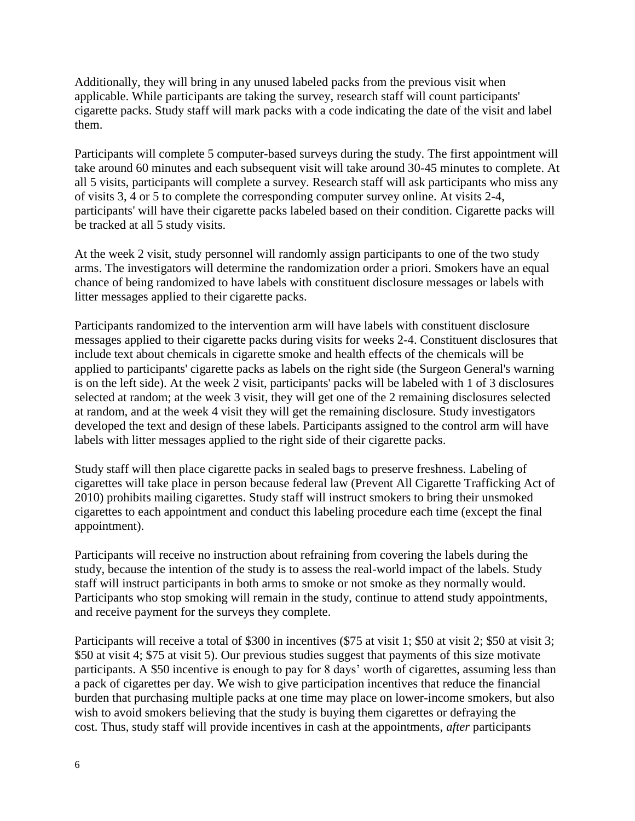Additionally, they will bring in any unused labeled packs from the previous visit when applicable. While participants are taking the survey, research staff will count participants' cigarette packs. Study staff will mark packs with a code indicating the date of the visit and label them.

Participants will complete 5 computer-based surveys during the study. The first appointment will take around 60 minutes and each subsequent visit will take around 30-45 minutes to complete. At all 5 visits, participants will complete a survey. Research staff will ask participants who miss any of visits 3, 4 or 5 to complete the corresponding computer survey online. At visits 2-4, participants' will have their cigarette packs labeled based on their condition. Cigarette packs will be tracked at all 5 study visits.

At the week 2 visit, study personnel will randomly assign participants to one of the two study arms. The investigators will determine the randomization order a priori. Smokers have an equal chance of being randomized to have labels with constituent disclosure messages or labels with litter messages applied to their cigarette packs.

Participants randomized to the intervention arm will have labels with constituent disclosure messages applied to their cigarette packs during visits for weeks 2-4. Constituent disclosures that include text about chemicals in cigarette smoke and health effects of the chemicals will be applied to participants' cigarette packs as labels on the right side (the Surgeon General's warning is on the left side). At the week 2 visit, participants' packs will be labeled with 1 of 3 disclosures selected at random; at the week 3 visit, they will get one of the 2 remaining disclosures selected at random, and at the week 4 visit they will get the remaining disclosure. Study investigators developed the text and design of these labels. Participants assigned to the control arm will have labels with litter messages applied to the right side of their cigarette packs.

Study staff will then place cigarette packs in sealed bags to preserve freshness. Labeling of cigarettes will take place in person because federal law (Prevent All Cigarette Trafficking Act of 2010) prohibits mailing cigarettes. Study staff will instruct smokers to bring their unsmoked cigarettes to each appointment and conduct this labeling procedure each time (except the final appointment).

Participants will receive no instruction about refraining from covering the labels during the study, because the intention of the study is to assess the real-world impact of the labels. Study staff will instruct participants in both arms to smoke or not smoke as they normally would. Participants who stop smoking will remain in the study, continue to attend study appointments, and receive payment for the surveys they complete.

Participants will receive a total of \$300 in incentives (\$75 at visit 1; \$50 at visit 2; \$50 at visit 3; \$50 at visit 4; \$75 at visit 5). Our previous studies suggest that payments of this size motivate participants. A \$50 incentive is enough to pay for 8 days' worth of cigarettes, assuming less than a pack of cigarettes per day. We wish to give participation incentives that reduce the financial burden that purchasing multiple packs at one time may place on lower-income smokers, but also wish to avoid smokers believing that the study is buying them cigarettes or defraying the cost. Thus, study staff will provide incentives in cash at the appointments, *after* participants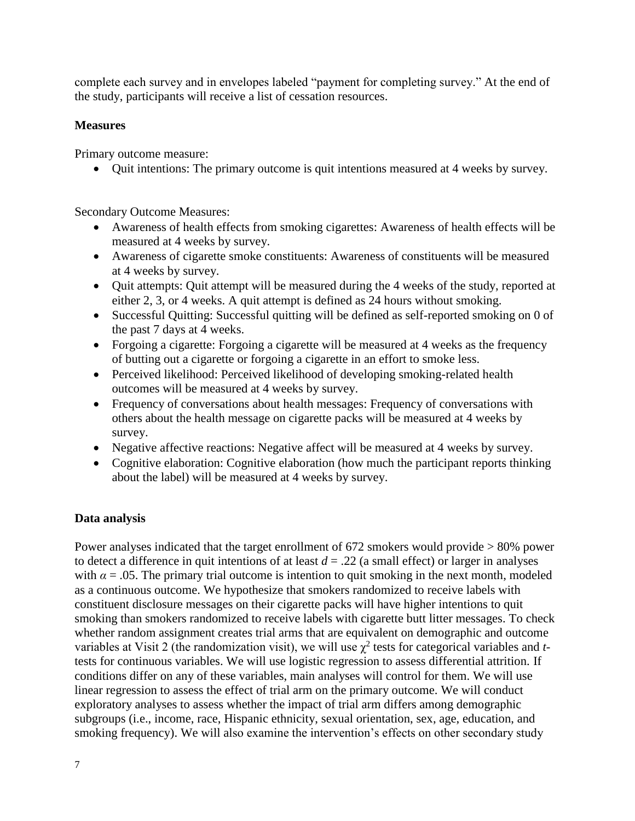complete each survey and in envelopes labeled "payment for completing survey." At the end of the study, participants will receive a list of cessation resources.

# <span id="page-6-0"></span>**Measures**

Primary outcome measure:

• Ouit intentions: The primary outcome is quit intentions measured at 4 weeks by survey.

Secondary Outcome Measures:

- Awareness of health effects from smoking cigarettes: Awareness of health effects will be measured at 4 weeks by survey.
- Awareness of cigarette smoke constituents: Awareness of constituents will be measured at 4 weeks by survey.
- Quit attempts: Quit attempt will be measured during the 4 weeks of the study, reported at either 2, 3, or 4 weeks. A quit attempt is defined as 24 hours without smoking.
- Successful Quitting: Successful quitting will be defined as self-reported smoking on 0 of the past 7 days at 4 weeks.
- Forgoing a cigarette: Forgoing a cigarette will be measured at 4 weeks as the frequency of butting out a cigarette or forgoing a cigarette in an effort to smoke less.
- Perceived likelihood: Perceived likelihood of developing smoking-related health outcomes will be measured at 4 weeks by survey.
- Frequency of conversations about health messages: Frequency of conversations with others about the health message on cigarette packs will be measured at 4 weeks by survey.
- Negative affective reactions: Negative affect will be measured at 4 weeks by survey.
- Cognitive elaboration: Cognitive elaboration (how much the participant reports thinking about the label) will be measured at 4 weeks by survey.

# <span id="page-6-1"></span>**Data analysis**

Power analyses indicated that the target enrollment of 672 smokers would provide > 80% power to detect a difference in quit intentions of at least  $d = .22$  (a small effect) or larger in analyses with  $\alpha$  = .05. The primary trial outcome is intention to quit smoking in the next month, modeled as a continuous outcome. We hypothesize that smokers randomized to receive labels with constituent disclosure messages on their cigarette packs will have higher intentions to quit smoking than smokers randomized to receive labels with cigarette butt litter messages. To check whether random assignment creates trial arms that are equivalent on demographic and outcome variables at Visit 2 (the randomization visit), we will use  $\chi^2$  tests for categorical variables and *t*tests for continuous variables. We will use logistic regression to assess differential attrition. If conditions differ on any of these variables, main analyses will control for them. We will use linear regression to assess the effect of trial arm on the primary outcome. We will conduct exploratory analyses to assess whether the impact of trial arm differs among demographic subgroups (i.e., income, race, Hispanic ethnicity, sexual orientation, sex, age, education, and smoking frequency). We will also examine the intervention's effects on other secondary study